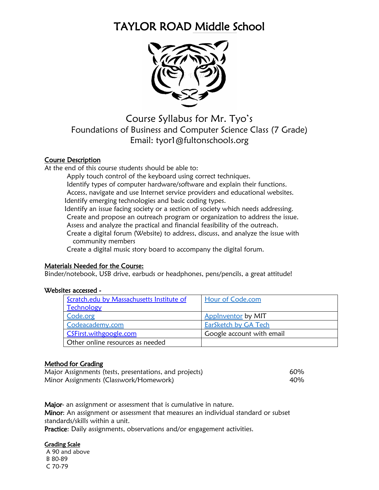# TAYLOR ROAD Middle School



Course Syllabus for Mr. Tyo's Foundations of Business and Computer Science Class (7 Grade) Email: tyor1@fultonschools.org

# Course Description

At the end of this course students should be able to:

Apply touch control of the keyboard using correct techniques.

Identify types of computer hardware/software and explain their functions.

Access, navigate and use Internet service providers and educational websites.

Identify emerging technologies and basic coding types.

Identify an issue facing society or a section of society which needs addressing.

Create and propose an outreach program or organization to address the issue. Assess and analyze the practical and financial feasibility of the outreach.

Create a digital forum (Website) to address, discuss, and analyze the issue with community members

Create a digital music story board to accompany the digital forum.

# Materials Needed for the Course:

Binder/notebook, USB drive, earbuds or headphones, pens/pencils, a great attitude!

# Websites accessed -

| Scratch.edu by Massachusetts Institute of | Hour of Code.com          |
|-------------------------------------------|---------------------------|
| Technology                                |                           |
| Code.org                                  | Applnventor by MIT        |
| Codeacademy.com                           | EarSketch by GA Tech      |
| CSFirst.withgoogle.com                    | Google account with email |
| Other online resources as needed          |                           |

# Method for Grading

Major Assignments (tests, presentations, and projects) Minor Assignments (Classwork/Homework)

60% 40%

Major- an assignment or assessment that is cumulative in nature. Minor: An assignment or assessment that measures an individual standard or subset standards/skills within a unit.

Practice: Daily assignments, observations and/or engagement activities.

# Grading Scale

A 90 and above B 80-89 C 70-79